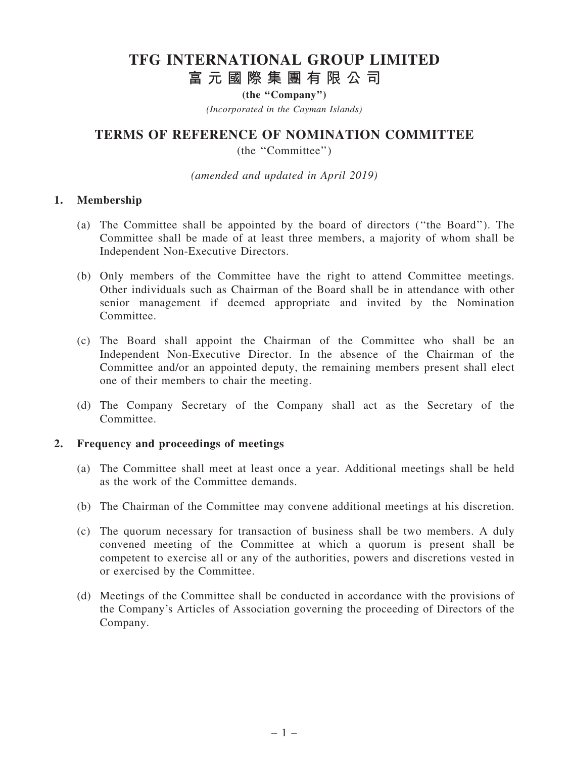# TFG INTERNATIONAL GROUP LIMITED 富 元 國 際 集 團 有 限 公 司

(the "Company")

(Incorporated in the Cayman Islands)

# TERMS OF REFERENCE OF NOMINATION COMMITTEE

(the ''Committee'')

(amended and updated in April 2019)

#### 1. Membership

- (a) The Committee shall be appointed by the board of directors (''the Board''). The Committee shall be made of at least three members, a majority of whom shall be Independent Non-Executive Directors.
- (b) Only members of the Committee have the right to attend Committee meetings. Other individuals such as Chairman of the Board shall be in attendance with other senior management if deemed appropriate and invited by the Nomination Committee.
- (c) The Board shall appoint the Chairman of the Committee who shall be an Independent Non-Executive Director. In the absence of the Chairman of the Committee and/or an appointed deputy, the remaining members present shall elect one of their members to chair the meeting.
- (d) The Company Secretary of the Company shall act as the Secretary of the Committee.

#### 2. Frequency and proceedings of meetings

- (a) The Committee shall meet at least once a year. Additional meetings shall be held as the work of the Committee demands.
- (b) The Chairman of the Committee may convene additional meetings at his discretion.
- (c) The quorum necessary for transaction of business shall be two members. A duly convened meeting of the Committee at which a quorum is present shall be competent to exercise all or any of the authorities, powers and discretions vested in or exercised by the Committee.
- (d) Meetings of the Committee shall be conducted in accordance with the provisions of the Company's Articles of Association governing the proceeding of Directors of the Company.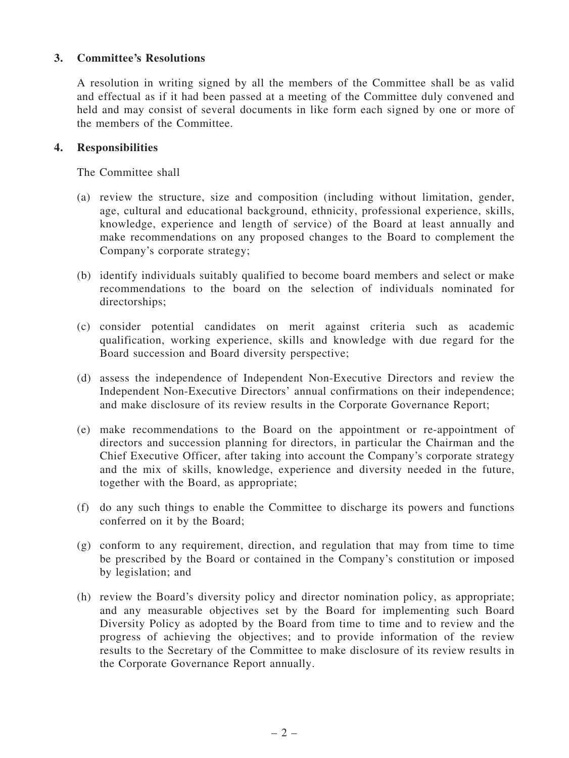# 3. Committee's Resolutions

A resolution in writing signed by all the members of the Committee shall be as valid and effectual as if it had been passed at a meeting of the Committee duly convened and held and may consist of several documents in like form each signed by one or more of the members of the Committee.

#### 4. Responsibilities

The Committee shall

- (a) review the structure, size and composition (including without limitation, gender, age, cultural and educational background, ethnicity, professional experience, skills, knowledge, experience and length of service) of the Board at least annually and make recommendations on any proposed changes to the Board to complement the Company's corporate strategy;
- (b) identify individuals suitably qualified to become board members and select or make recommendations to the board on the selection of individuals nominated for directorships;
- (c) consider potential candidates on merit against criteria such as academic qualification, working experience, skills and knowledge with due regard for the Board succession and Board diversity perspective;
- (d) assess the independence of Independent Non-Executive Directors and review the Independent Non-Executive Directors' annual confirmations on their independence; and make disclosure of its review results in the Corporate Governance Report;
- (e) make recommendations to the Board on the appointment or re-appointment of directors and succession planning for directors, in particular the Chairman and the Chief Executive Officer, after taking into account the Company's corporate strategy and the mix of skills, knowledge, experience and diversity needed in the future, together with the Board, as appropriate;
- (f) do any such things to enable the Committee to discharge its powers and functions conferred on it by the Board;
- (g) conform to any requirement, direction, and regulation that may from time to time be prescribed by the Board or contained in the Company's constitution or imposed by legislation; and
- (h) review the Board's diversity policy and director nomination policy, as appropriate; and any measurable objectives set by the Board for implementing such Board Diversity Policy as adopted by the Board from time to time and to review and the progress of achieving the objectives; and to provide information of the review results to the Secretary of the Committee to make disclosure of its review results in the Corporate Governance Report annually.